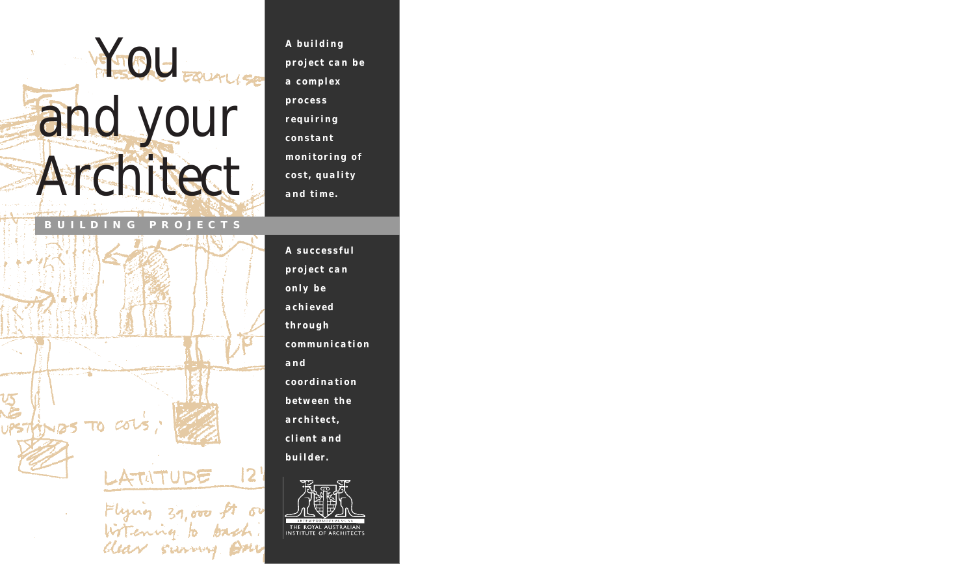

**BUILDING P R OJECTS**

 $TOCO$ 

*A building project can be a complex process requiring constant monitoring of cost, quality and time.*

*A successful project can only be achieved through communication and coordination between the architect, client and builder.*



12.

Flying 39,000 ft of

Clear survey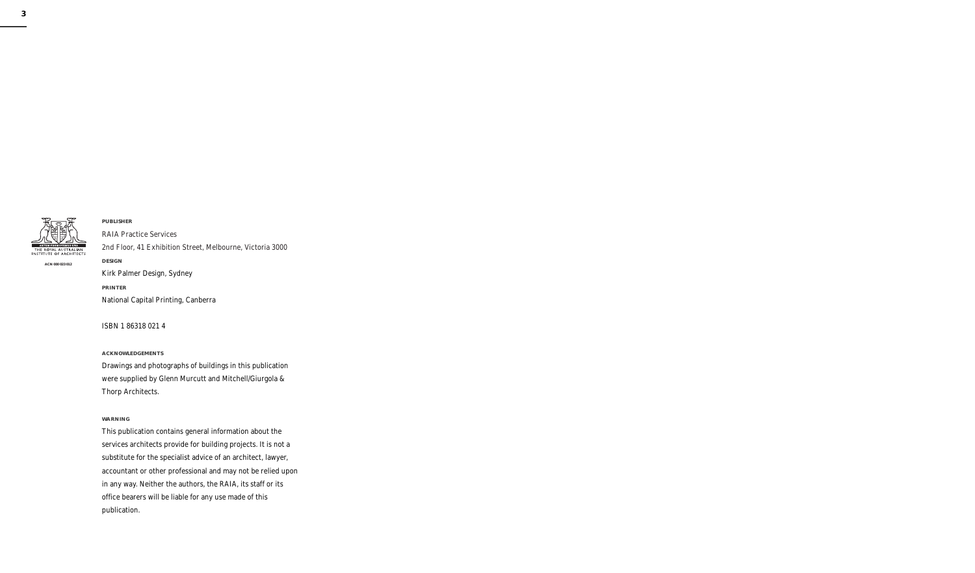

**ACN 000 023 012**

### **PUBLISHER**

RAIA Practice Services 2nd Floor, 41 Exhibition Street, Melbourne, Victoria 3000 **DESIGN** Kirk Palmer Design, Sydney **PRINTER** National Capital Printing, Canberra

ISBN 1 86318 021 4

#### **ACKNOWLEDGEMENTS**

Drawings and photographs of buildings in this publication were supplied by Glenn Murcutt and Mitchell/Giurgola & Thorp Architects.

#### **WARNING**

This publication contains general information about the services architects provide for building projects. It is not a substitute for the specialist advice of an architect, lawyer, accountant or other professional and may not be relied upon in any way. Neither the authors, the RAIA, its staff or its office bearers will be liable for any use made of this publication.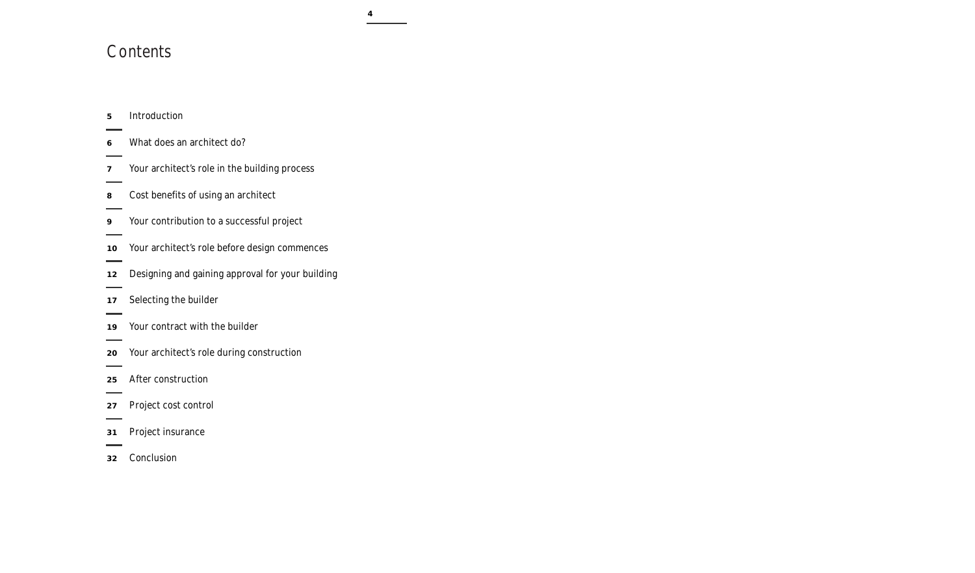# **Contents**

| 5               | Introduction                                     |
|-----------------|--------------------------------------------------|
| 6               | What does an architect do?                       |
| 7               | Your architect's role in the building process    |
| 8               | Cost benefits of using an architect              |
| 9               | Your contribution to a successful project        |
| $10-10$         | Your architect's role before design commences    |
| 12 <sup>2</sup> | Designing and gaining approval for your building |
| 17              | Selecting the builder                            |
| 19              | Your contract with the builder                   |
| 20              | Your architect's role during construction        |
| 25              | After construction                               |
| 27              | Project cost control                             |
| 31              | Project insurance                                |
| 32              | Conclusion                                       |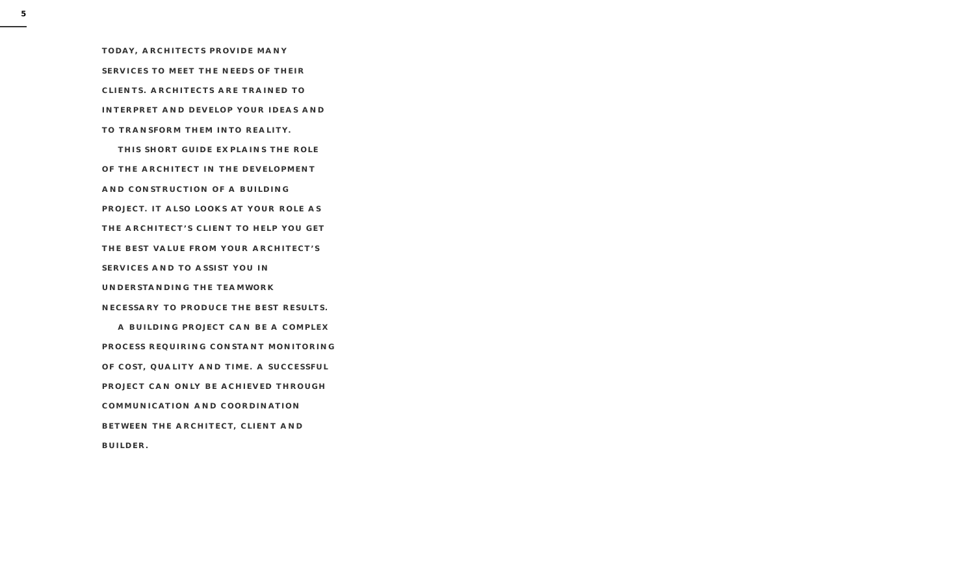**TODAY, ARCHITECTS PROVIDE MANY SERVICES TO MEET THE NEEDS OF THEIR CLIENTS. ARCHITECTS ARE TRAINED TO INTERPRET AND DEVELOP YOUR IDEAS AND TO TRANSFORM THEM INTO REALITY.** 

**THIS SHORT GUIDE EXPLAINS THE ROLE OF THE ARCHITECT IN THE DEVELOPMENT AND CONSTRUCTION OF A BUILDING PROJECT. IT ALSO LOOKS AT YOUR ROLE AS THE ARCHITECT'S CLIENT TO HELP YOU GET THE BEST VALUE FROM YOUR ARCHITECT'S SERVICES AND TO ASSIST YOU IN UNDERSTANDING THE TEAMWORK NECESSARY TO PRODUCE THE BEST RESULTS.**

**A BUILDING PROJECT CAN BE A COMPLEX PROCESS REQUIRING CONSTANT MONITORING OF COST, QUALITY AND TIME. A SUCCESSFUL PROJECT CAN ONLY BE ACHIEVED THROUGH COMMUNICATION AND COORDINATION BETWEEN THE ARCHITECT, CLIENT AND BUILDER.**

**5**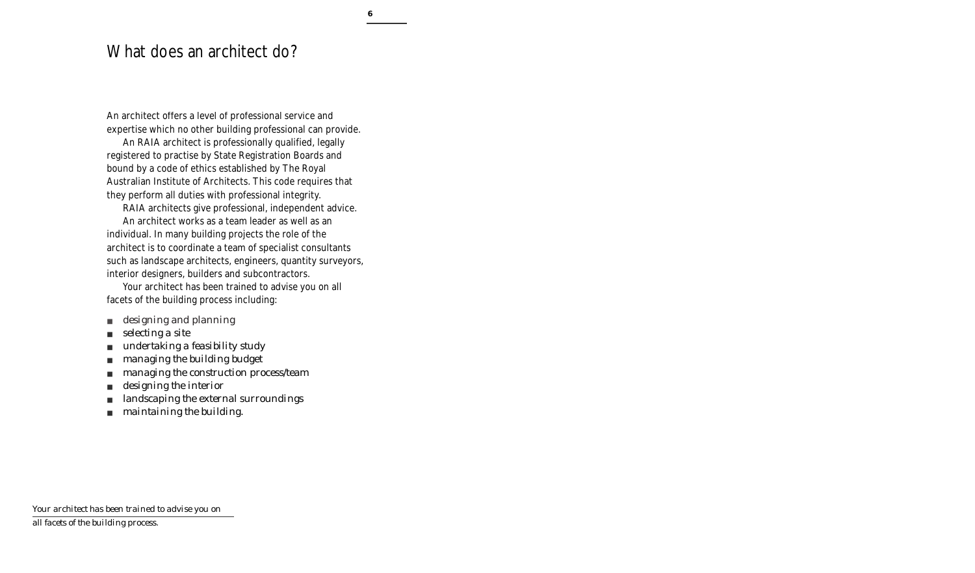## What does an architect do?

An architect offers a level of professional service and expertise which no other building professional can provide.

An RAIA architect is professionally qualified, legally registered to practise by State Registration Boards and bound by a code of ethics established by The Royal Australian Institute of Architects. This code requires that they perform all duties with professional integrity.

RAIA architects give professional, independent advice.

An architect works as a team leader as well as an individual. In many building projects the role of the architect is to coordinate a team of specialist consultants such as landscape architects, engineers, quantity surveyors, interior designers, builders and subcontractors.

Your architect has been trained to advise you on all facets of the building process including:

- *designing and planning*
- *selecting a site*
- *undertaking a feasibility study*
- *managing the building budget*
- *managing the construction process/team*
- *designing the interior*
- *landscaping the external surroundings*
- *maintaining the building.*

*Your architect has been trained to advise you on* 

*all facets of the building process.*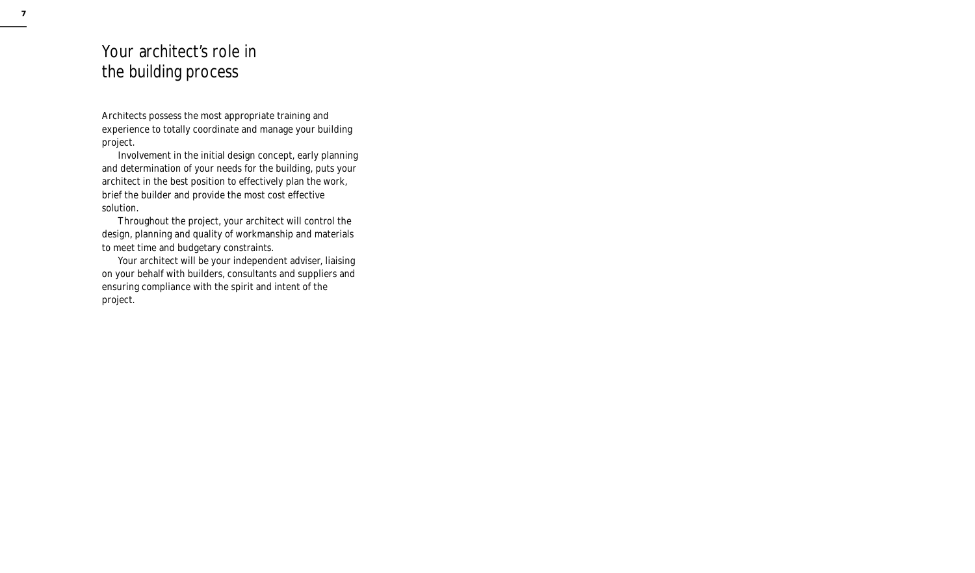# Your architect's role in the building process

Architects possess the most appropriate training and experience to totally coordinate and manage your building project.

Involvement in the initial design concept, early planning and determination of your needs for the building, puts your architect in the best position to effectively plan the work, brief the builder and provide the most cost effective solution.

Throughout the project, your architect will control the design, planning and quality of workmanship and materials to meet time and budgetary constraints.

Your architect will be your independent adviser, liaising on your behalf with builders, consultants and suppliers and ensuring compliance with the spirit and intent of the project.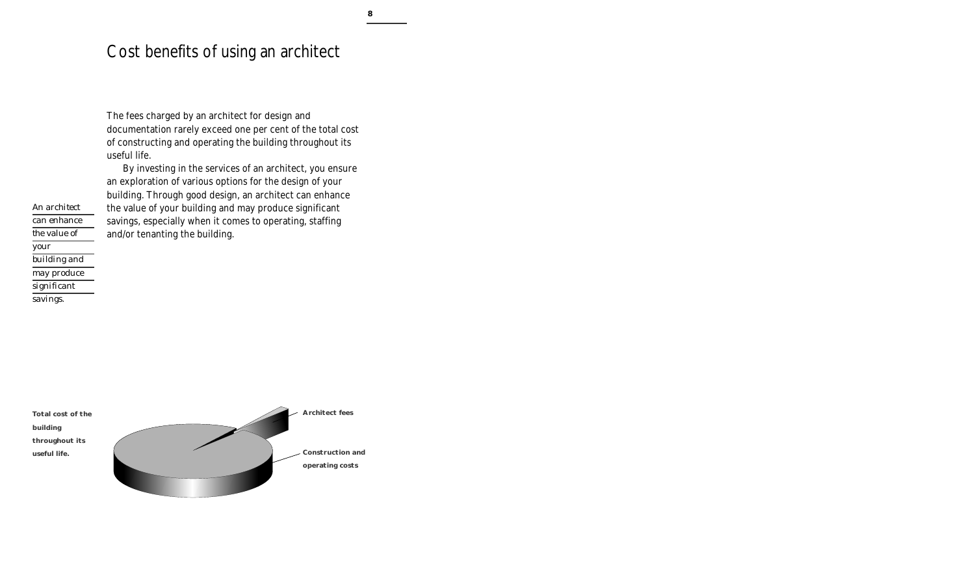## Cost benefits of using an architect

The fees charged by an architect for design and documentation rarely exceed one per cent of the total cost of constructing and operating the building throughout its useful life.

By investing in the services of an architect, you ensure an exploration of various options for the design of your building. Through good design, an architect can enhance the value of your building and may produce significant savings, especially when it comes to operating, staffing and/or tenanting the building.

*An architect can enhance the value of your building and may produce significant savings.*

**Total cost of the building throughout its useful life.**

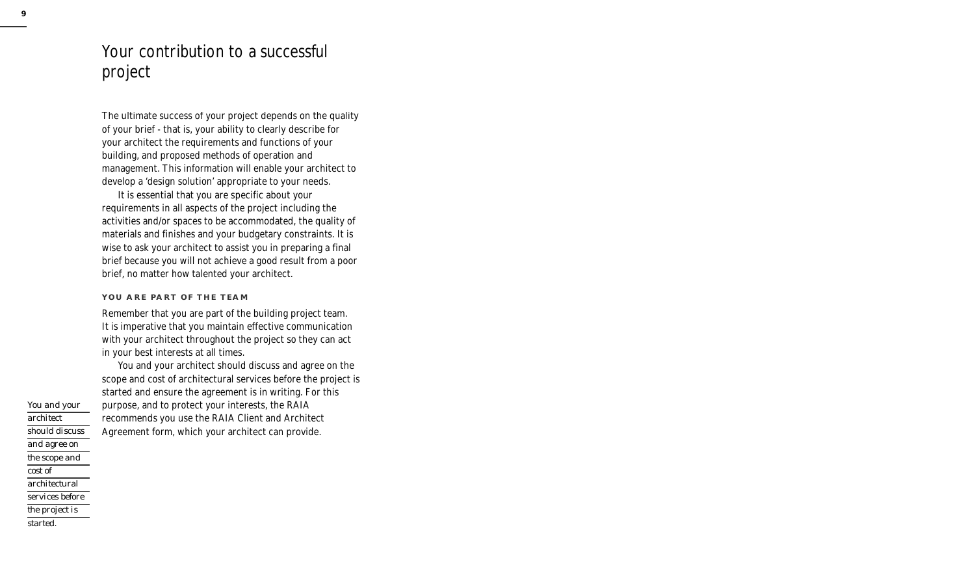# Your contribution to a successful project

The ultimate success of your project depends on the quality of your brief - that is, your ability to clearly describe for your architect the requirements and functions of your building, and proposed methods of operation and management. This information will enable your architect to develop a 'design solution' appropriate to your needs.

It is essential that you are specific about your requirements in all aspects of the project including the activities and/or spaces to be accommodated, the quality of materials and finishes and your budgetary constraints. It is wise to ask your architect to assist you in preparing a final brief because you will not achieve a good result from a poor brief, no matter how talented your architect.

### **YOU ARE PART OF THE TEAM**

Remember that you are part of the building project team. It is imperative that you maintain effective communication with your architect throughout the project so they can act in your best interests at all times.

You and your architect should discuss and agree on the scope and cost of architectural services before the project is started and ensure the agreement is in writing. For this purpose, and to protect your interests, the RAIA recommends you use the RAIA Client and Architect Agreement form, which your architect can provide.

*You and your architect should discuss and agree on the scope and cost of architectural services before the project is started.*

**9**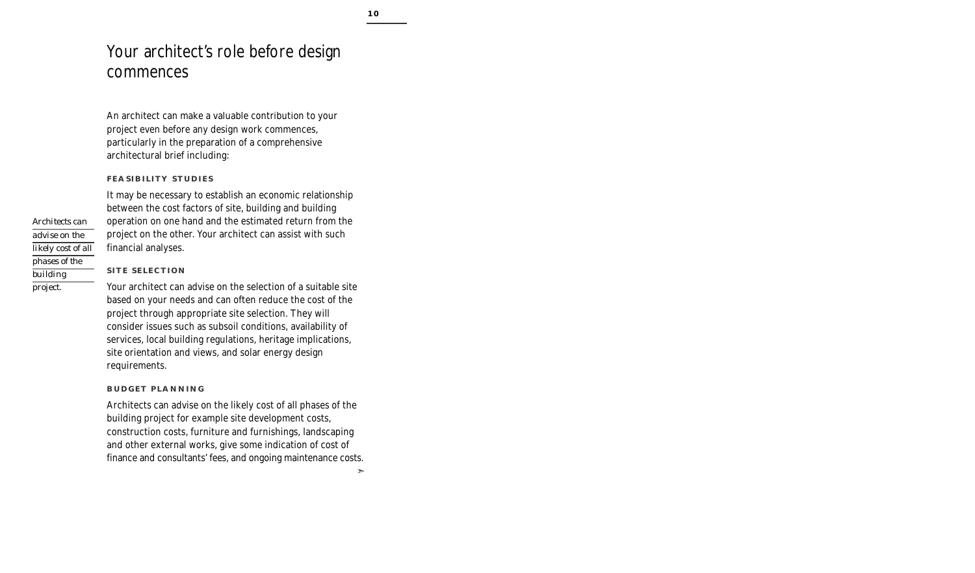# Your architect's role before design commences

An architect can make a valuable contribution to your project even before any design work commences, particularly in the preparation of a comprehensive architectural brief including:

### **FEASIBILITY STUDIES**

It may be necessary to establish an economic relationship between the cost factors of site, building and building operation on one hand and the estimated return from the project on the other. Your architect can assist with such financial analyses.

### **SITE SELECTION**

Your architect can advise on the selection of a suitable site based on your needs and can often reduce the cost of the project through appropriate site selection. They will consider issues such as subsoil conditions, availability of services, local building regulations, heritage implications, site orientation and views, and solar energy design requirements.

#### **BUDGET PLANNING**

Architects can advise on the likely cost of all phases of the building project for example site development costs, construction costs, furniture and furnishings, landscaping and other external works, give some indication of cost of finance and consultants' fees, and ongoing maintenance costs.

*Architects can advise on the likely cost of all phases of the building project.*

➣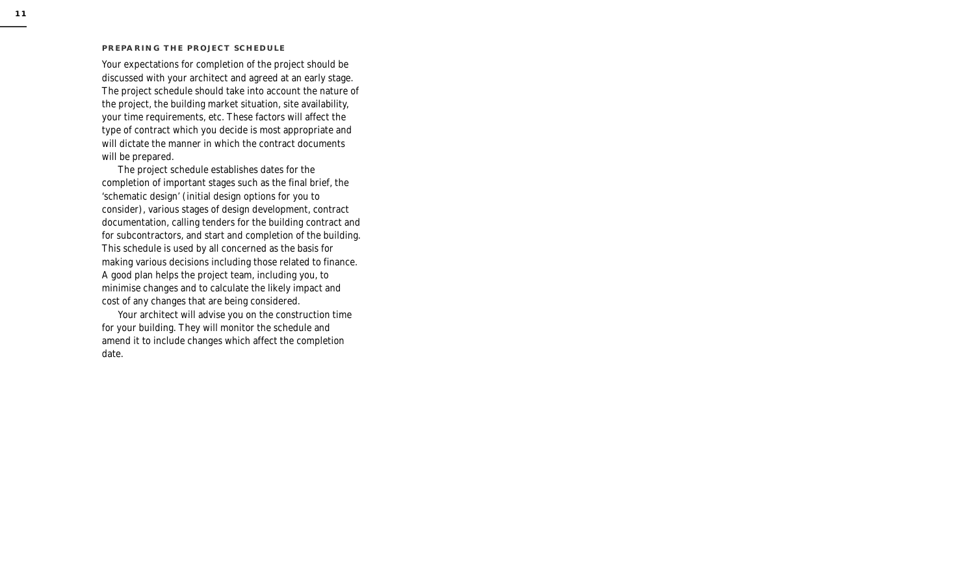#### **PREPARING THE PROJECT SCHEDULE**

Your expectations for completion of the project should be discussed with your architect and agreed at an early stage. The project schedule should take into account the nature of the project, the building market situation, site availability, your time requirements, etc. These factors will affect the type of contract which you decide is most appropriate and will dictate the manner in which the contract documents will be prepared.

The project schedule establishes dates for the completion of important stages such as the final brief, the 'schematic design' (initial design options for you to consider), various stages of design development, contract documentation, calling tenders for the building contract and for subcontractors, and start and completion of the building. This schedule is used by all concerned as the basis for making various decisions including those related to finance. A good plan helps the project team, including you, to minimise changes and to calculate the likely impact and cost of any changes that are being considered.

Your architect will advise you on the construction time for your building. They will monitor the schedule and amend it to include changes which affect the completion date.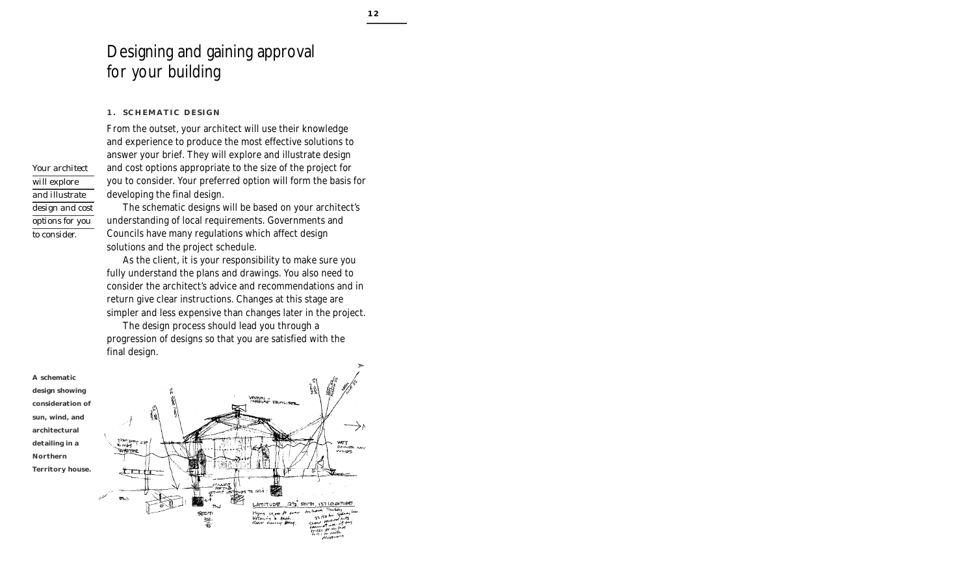# Designing and gaining approval for your building

### **1. SCHEMATIC DESIGN**

From the outset, your architect will use their knowledge and experience to produce the most effective solutions to answer your brief. They will explore and illustrate design and cost options appropriate to the size of the project for you to consider. Your preferred option will form the basis for developing the final design.

The schematic designs will be based on your architect's understanding of local requirements. Governments and Councils have many regulations which affect design solutions and the project schedule.

As the client, it is your responsibility to make sure you fully understand the plans and drawings. You also need to consider the architect's advice and recommendations and in return give clear instructions. Changes at this stage are simpler and less expensive than changes later in the project.

The design process should lead you through a progression of designs so that you are satisfied with the final design.



*Your architect will explore and illustrate design and cost options for you to consider.*

**A schematic design showing consideration of sun, wind, and architectural detailing in a Northern Territory house.**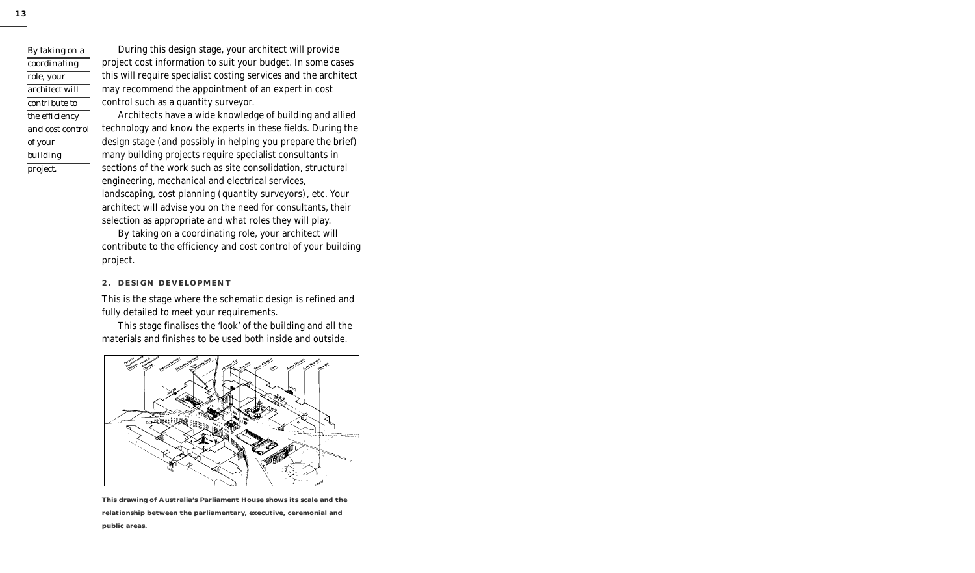*By taking on a coordinating role, your architect will contribute to the efficiency and cost control of your building project.*

During this design stage, your architect will provide project cost information to suit your budget. In some cases this will require specialist costing services and the architect may recommend the appointment of an expert in cost control such as a quantity surveyor.

Architects have a wide knowledge of building and allied technology and know the experts in these fields. During the design stage (and possibly in helping you prepare the brief) many building projects require specialist consultants in sections of the work such as site consolidation, structural engineering, mechanical and electrical services, landscaping, cost planning (quantity surveyors), etc. Your architect will advise you on the need for consultants, their selection as appropriate and what roles they will play.

By taking on a coordinating role, your architect will contribute to the efficiency and cost control of your building project.

#### **2. DESIGN DEVELOPMENT**

This is the stage where the schematic design is refined and fully detailed to meet your requirements.

This stage finalises the 'look' of the building and all the materials and finishes to be used both inside and outside.



**This drawing of Australia's Parliament House shows its scale and the relationship between the parliamentary, executive, ceremonial and public areas.**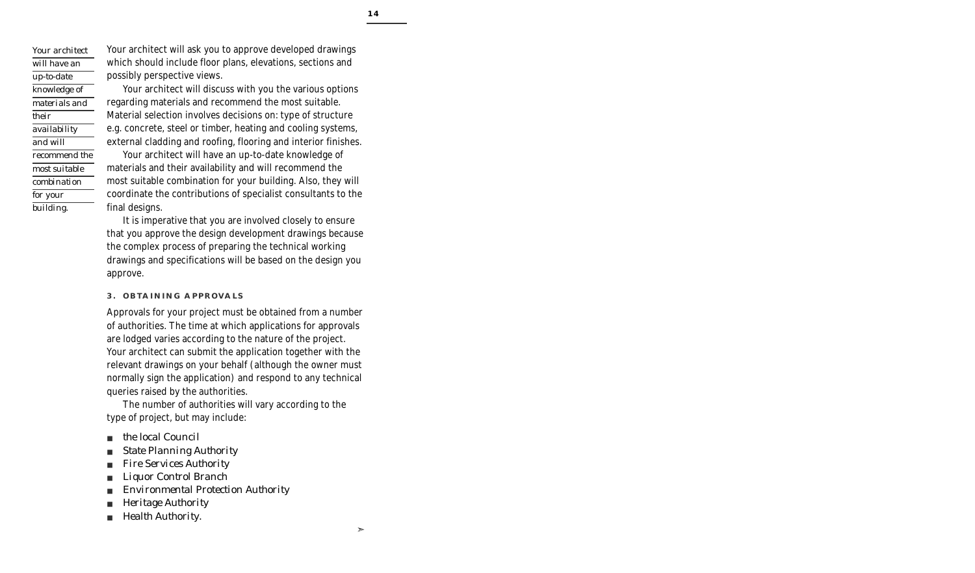*Your architect will have an up-to-date knowledge of materials and their availability and will recommend the most suitable combination for your building.*

Your architect will ask you to approve developed drawings which should include floor plans, elevations, sections and possibly perspective views.

Your architect will discuss with you the various options regarding materials and recommend the most suitable. Material selection involves decisions on: type of structure e.g. concrete, steel or timber, heating and cooling systems, external cladding and roofing, flooring and interior finishes.

Your architect will have an up-to-date knowledge of materials and their availability and will recommend the most suitable combination for your building. Also, they will coordinate the contributions of specialist consultants to the final designs.

It is imperative that you are involved closely to ensure that you approve the design development drawings because the complex process of preparing the technical working drawings and specifications will be based on the design you approve.

### **3. OBTAINING APPROVALS**

Approvals for your project must be obtained from a number of authorities. The time at which applications for approvals are lodged varies according to the nature of the project. Your architect can submit the application together with the relevant drawings on your behalf (although the owner must normally sign the application) and respond to any technical queries raised by the authorities.

The number of authorities will vary according to the type of project, but may include:

- *the local Council*
- *State Planning Authority*
- *Fire Services Authority*
- *Liquor Control Branch*
- *Environmental Protection Authority*
- *Heritage Authority*
- *Health Authority.*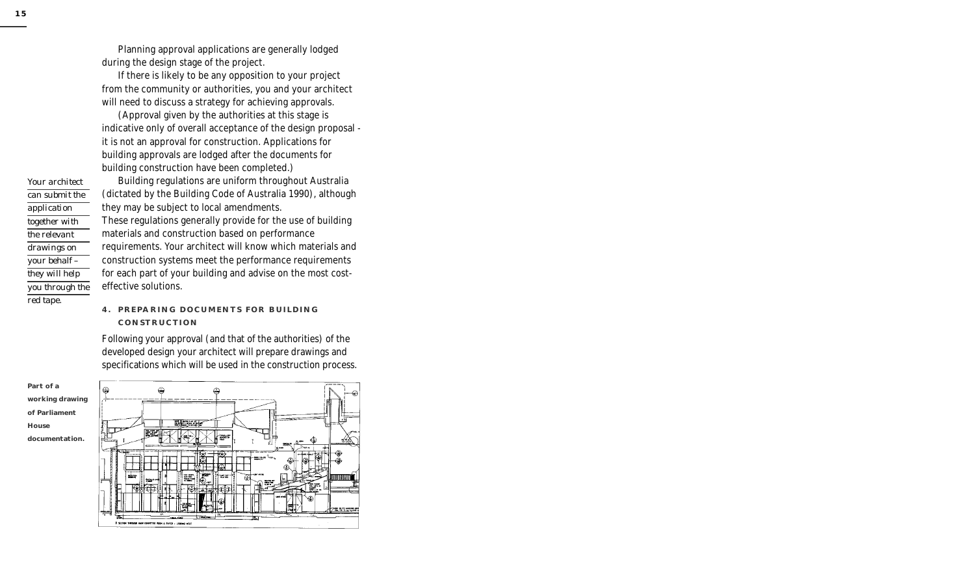*Your architect can submit the application together with the relevant drawings on your behalf – they will help you through the red tape.*

Planning approval applications are generally lodged during the design stage of the project.

If there is likely to be any opposition to your project from the community or authorities, you and your architect will need to discuss a strategy for achieving approvals.

(Approval given by the authorities at this stage is indicative only of overall acceptance of the design proposal it is not an approval for construction. Applications for building approvals are lodged after the documents for building construction have been completed.)

Building regulations are uniform throughout Australia (dictated by the Building Code of Australia 1990), although they may be subject to local amendments. These regulations generally provide for the use of building materials and construction based on performance requirements. Your architect will know which materials and construction systems meet the performance requirements for each part of your building and advise on the most costeffective solutions.

### **4. PREPARING DOCUMENTS FOR BUILDING CONSTRUCTION**

Following your approval (and that of the authorities) of the developed design your architect will prepare drawings and specifications which will be used in the construction process.



**Part of a working drawing of Parliament House documentation.**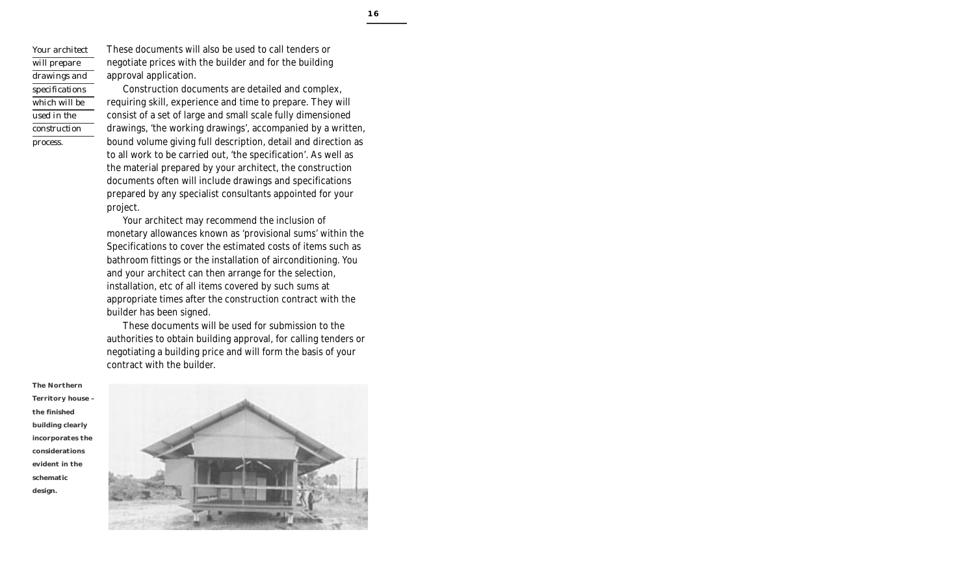*Your architect will prepare drawings and specifications which will be used in the construction process.*

These documents will also be used to call tenders or negotiate prices with the builder and for the building approval application.

Construction documents are detailed and complex, requiring skill, experience and time to prepare. They will consist of a set of large and small scale fully dimensioned drawings, 'the working drawings', accompanied by a written, bound volume giving full description, detail and direction as to all work to be carried out, 'the specification'. As well as the material prepared by your architect, the construction documents often will include drawings and specifications prepared by any specialist consultants appointed for your project.

Your architect may recommend the inclusion of monetary allowances known as 'provisional sums' within the Specifications to cover the estimated costs of items such as bathroom fittings or the installation of airconditioning. You and your architect can then arrange for the selection, installation, etc of all items covered by such sums at appropriate times after the construction contract with the builder has been signed.

These documents will be used for submission to the authorities to obtain building approval, for calling tenders or negotiating a building price and will form the basis of your contract with the builder.



**The Northern Territory house – the finished building clearly incorporates the considerations evident in the schematic design.**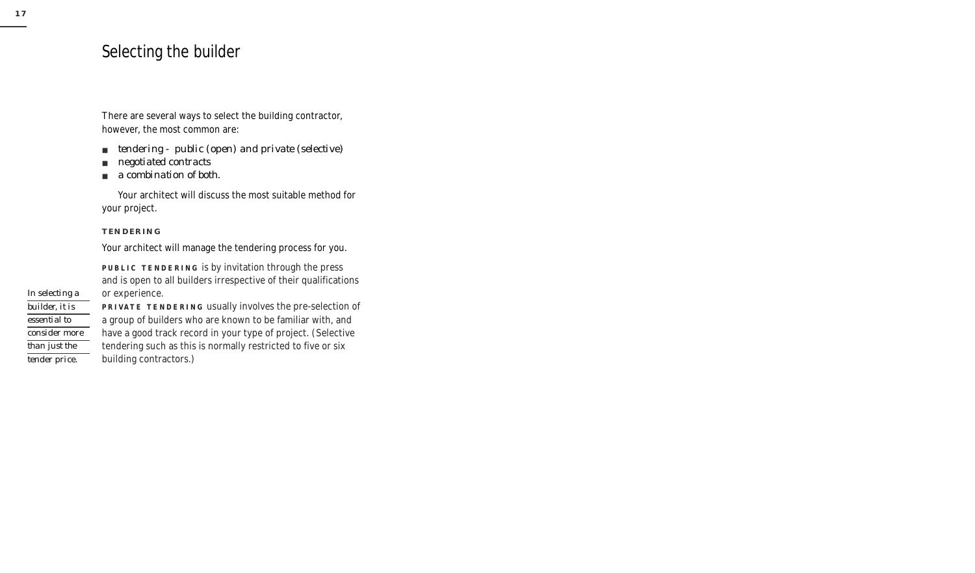## Selecting the builder

There are several ways to select the building contractor, however, the most common are:

- *tendering public (open) and private (selective)*
- *negotiated contracts*
- *a combination of both.*

Your architect will discuss the most suitable method for your project.

### **TENDERING**

Your architect will manage the tendering process for you.

**PUBLIC TENDERING** is by invitation through the press and is open to all builders irrespective of their qualifications or experience.

*In selecting a builder, it is essential to consider more than just the tender price.*

**PRIVATE TENDERING** usually involves the pre-selection of a group of builders who are known to be familiar with, and have a good track record in your type of project. (Selective tendering such as this is normally restricted to five or six building contractors.)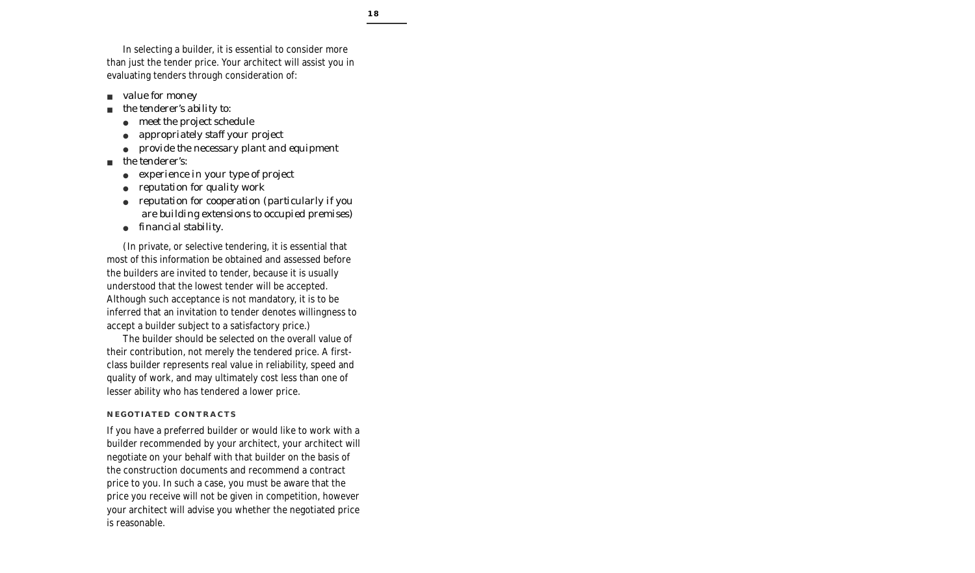In selecting a builder, it is essential to consider more than just the tender price. Your architect will assist you in evaluating tenders through consideration of:

- *value for money*
- *the tenderer's ability to:*
	- meet the project schedule
	- *appropriately staff your project*
	- *provide the necessary plant and equipment*
- *the tenderer's:*
	- experience in your type of project
	- *reputation for quality work*
	- *reputation for cooperation (particularly if you are building extensions to occupied premises)*
	- *financial stability.*

(In private, or selective tendering, it is essential that most of this information be obtained and assessed before the builders are invited to tender, because it is usually understood that the lowest tender will be accepted. Although such acceptance is not mandatory, it is to be inferred that an invitation to tender denotes willingness to accept a builder subject to a satisfactory price.)

The builder should be selected on the overall value of their contribution, not merely the tendered price. A firstclass builder represents real value in reliability, speed and quality of work, and may ultimately cost less than one of lesser ability who has tendered a lower price.

### **NEGOTIATED CONTRACTS**

If you have a preferred builder or would like to work with a builder recommended by your architect, your architect will negotiate on your behalf with that builder on the basis of the construction documents and recommend a contract price to you. In such a case, you must be aware that the price you receive will not be given in competition, however your architect will advise you whether the negotiated price is reasonable.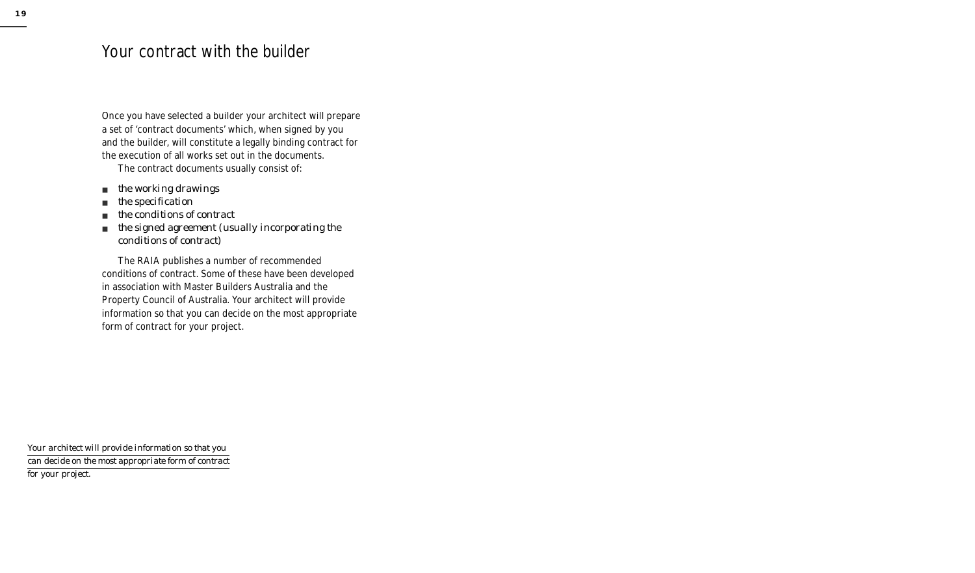## Your contract with the builder

Once you have selected a builder your architect will prepare a set of 'contract documents' which, when signed by you and the builder, will constitute a legally binding contract for the execution of all works set out in the documents.

The contract documents usually consist of:

- *the working drawings*
- *the specification*
- *the conditions of contract*
- *the signed agreement (usually incorporating the conditions of contract)*

The RAIA publishes a number of recommended conditions of contract. Some of these have been developed in association with Master Builders Australia and the Property Council of Australia. Your architect will provide information so that you can decide on the most appropriate form of contract for your project.

*Your architect will provide information so that you can decide on the most appropriate form of contract for your project.*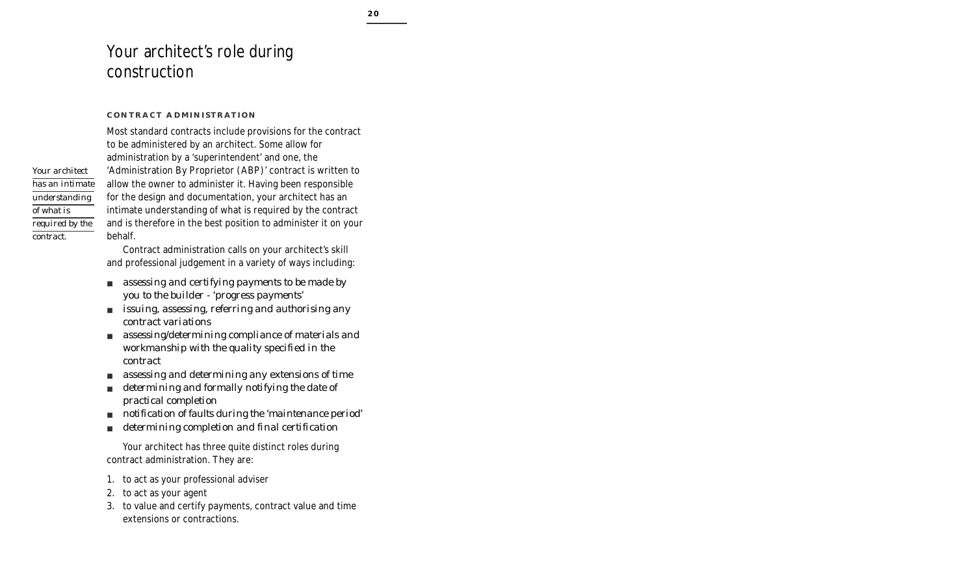# Your architect's role during construction

### **CONTRACT ADMINISTRATION**

Most standard contracts include provisions for the contract to be administered by an architect. Some allow for administration by a 'superintendent' and one, the 'Administration By Proprietor (ABP)' contract is written to allow the owner to administer it. Having been responsible for the design and documentation, your architect has an intimate understanding of what is required by the contract and is therefore in the best position to administer it on your behalf.

Contract administration calls on your architect's skill and professional judgement in a variety of ways including:

- *assessing and certifying payments to be made by you to the builder - 'progress payments'*
- *issuing, assessing, referring and authorising any contract variations*
- *assessing/determining compliance of materials and workmanship with the quality specified in the contract*
- *assessing and determining any extensions of time*
- *determining and formally notifying the date of practical completion*
- *notification of faults during the 'maintenance period'*
- *determining completion and final certification*

Your architect has three quite distinct roles during contract administration. They are:

- 1. to act as your professional adviser
- 2. to act as your agent
- 3. to value and certify payments, contract value and time extensions or contractions.

*Your architect has an intimate understanding of what is required by the contract.*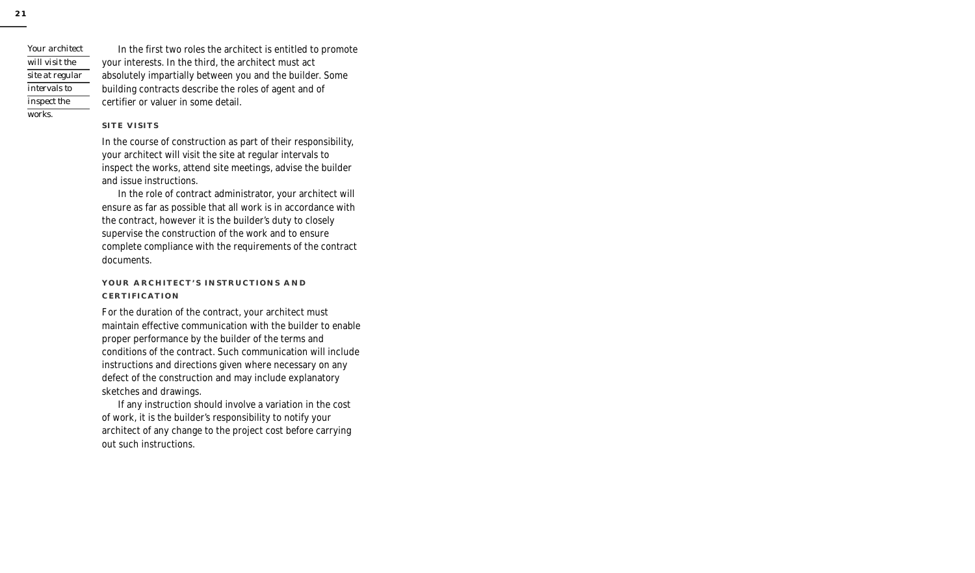*Your architect will visit the site at regular intervals to inspect the works.*

In the first two roles the architect is entitled to promote your interests. In the third, the architect must act absolutely impartially between you and the builder. Some building contracts describe the roles of agent and of certifier or valuer in some detail.

### **SITE VISITS**

In the course of construction as part of their responsibility, your architect will visit the site at regular intervals to inspect the works, attend site meetings, advise the builder and issue instructions.

In the role of contract administrator, your architect will ensure as far as possible that all work is in accordance with the contract, however it is the builder's duty to closely supervise the construction of the work and to ensure complete compliance with the requirements of the contract documents.

### **YOUR ARCHITECT'S INSTRUCTIONS AND CERTIFICATION**

For the duration of the contract, your architect must maintain effective communication with the builder to enable proper performance by the builder of the terms and conditions of the contract. Such communication will include instructions and directions given where necessary on any defect of the construction and may include explanatory sketches and drawings.

If any instruction should involve a variation in the cost of work, it is the builder's responsibility to notify your architect of any change to the project cost before carrying out such instructions.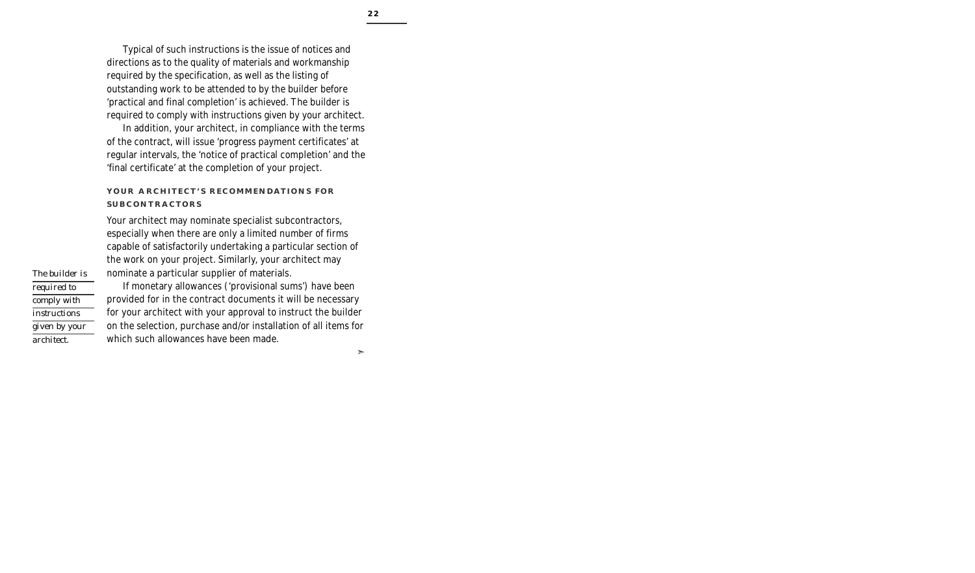Typical of such instructions is the issue of notices and directions as to the quality of materials and workmanship required by the specification, as well as the listing of outstanding work to be attended to by the builder before 'practical and final completion' is achieved. The builder is required to comply with instructions given by your architect.

In addition, your architect, in compliance with the terms of the contract, will issue 'progress payment certificates' at regular intervals, the 'notice of practical completion' and the 'final certificate' at the completion of your project.

### **YOUR ARCHITECT'S RECOMMENDATIONS FOR SUBCONTRACTORS**

Your architect may nominate specialist subcontractors, especially when there are only a limited number of firms capable of satisfactorily undertaking a particular section of the work on your project. Similarly, your architect may nominate a particular supplier of materials.

If monetary allowances ('provisional sums') have been provided for in the contract documents it will be necessary for your architect with your approval to instruct the builder on the selection, purchase and/or installation of all items for which such allowances have been made.

*The builder is required to comply with instructions given by your architect.*

 $\geq$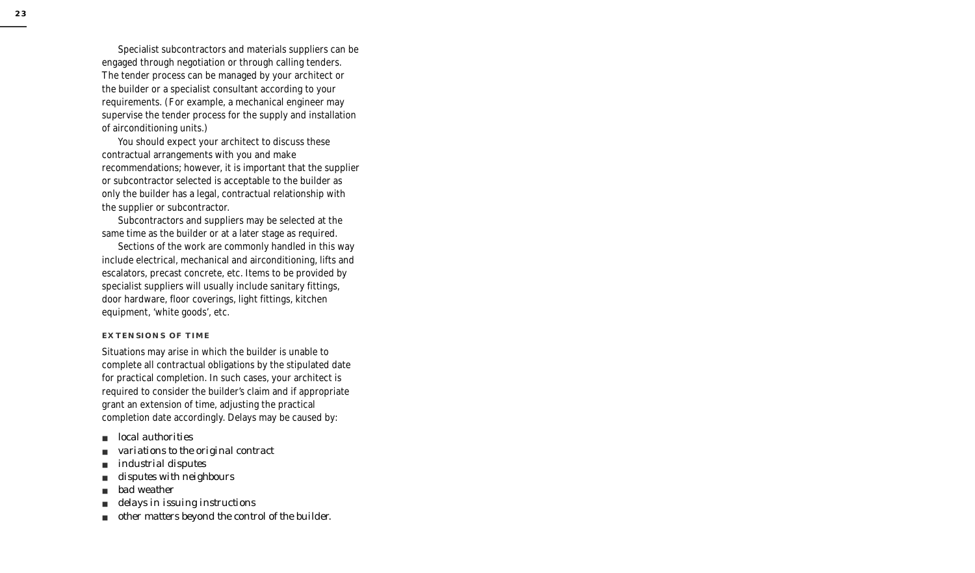Specialist subcontractors and materials suppliers can be engaged through negotiation or through calling tenders. The tender process can be managed by your architect or the builder or a specialist consultant according to your requirements. (For example, a mechanical engineer may supervise the tender process for the supply and installation of airconditioning units.)

You should expect your architect to discuss these contractual arrangements with you and make recommendations; however, it is important that the supplier or subcontractor selected is acceptable to the builder as only the builder has a legal, contractual relationship with the supplier or subcontractor.

Subcontractors and suppliers may be selected at the same time as the builder or at a later stage as required.

Sections of the work are commonly handled in this way include electrical, mechanical and airconditioning, lifts and escalators, precast concrete, etc. Items to be provided by specialist suppliers will usually include sanitary fittings, door hardware, floor coverings, light fittings, kitchen equipment, 'white goods', etc.

### **EXTENSIONS OF TIME**

Situations may arise in which the builder is unable to complete all contractual obligations by the stipulated date for practical completion. In such cases, your architect is required to consider the builder's claim and if appropriate grant an extension of time, adjusting the practical completion date accordingly. Delays may be caused by:

- *local authorities*
- *variations to the original contract*
- *industrial disputes*
- *disputes with neighbours*
- *bad weather*
- *delays in issuing instructions*
- *other matters beyond the control of the builder.*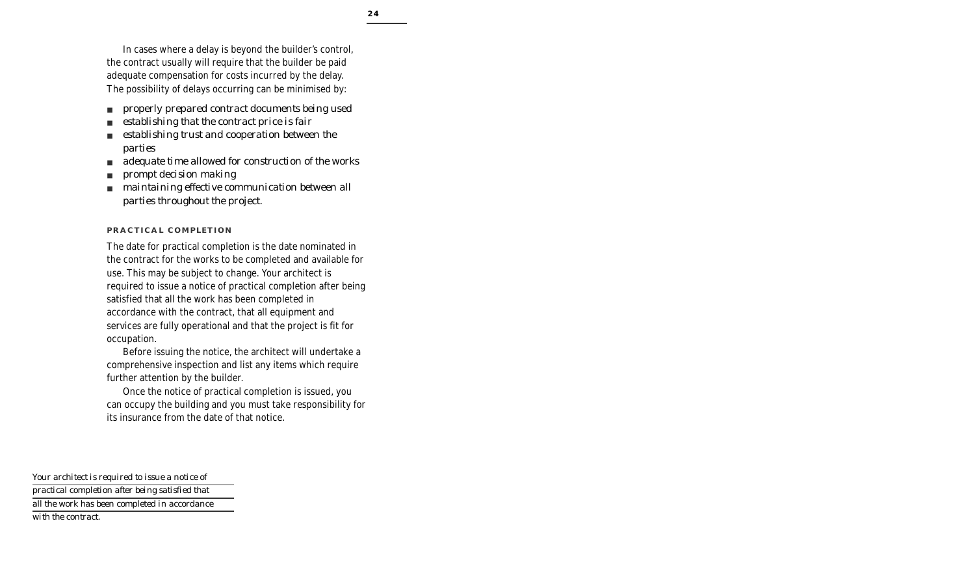In cases where a delay is beyond the builder's control, the contract usually will require that the builder be paid adequate compensation for costs incurred by the delay. The possibility of delays occurring can be minimised by:

- *properly prepared contract documents being used*
- establishing that the contract price is fair
- *establishing trust and cooperation between the parties*
- adequate time allowed for construction of the works
- *prompt decision making*
- *maintaining effective communication between all parties throughout the project.*

### **PRACTICAL COMPLETION**

The date for practical completion is the date nominated in the contract for the works to be completed and available for use. This may be subject to change. Your architect is required to issue a notice of practical completion after being satisfied that all the work has been completed in accordance with the contract, that all equipment and services are fully operational and that the project is fit for occupation.

Before issuing the notice, the architect will undertake a comprehensive inspection and list any items which require further attention by the builder.

Once the notice of practical completion is issued, you can occupy the building and you must take responsibility for its insurance from the date of that notice.

*Your architect is required to issue a notice of practical completion after being satisfied that all the work has been completed in accordance with the contract.*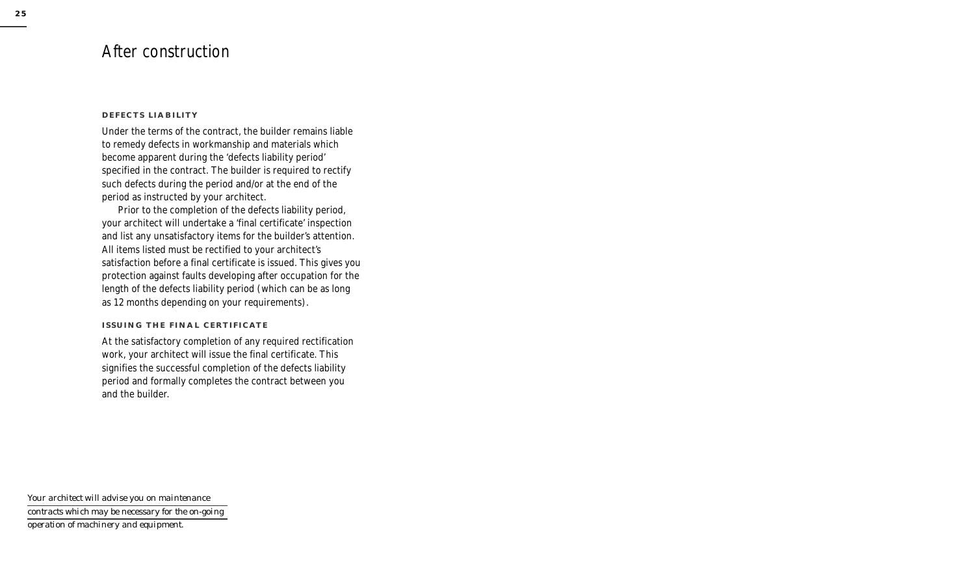## After construction

### **DEFECTS LIABILITY**

Under the terms of the contract, the builder remains liable to remedy defects in workmanship and materials which become apparent during the 'defects liability period' specified in the contract. The builder is required to rectify such defects during the period and/or at the end of the period as instructed by your architect.

Prior to the completion of the defects liability period, your architect will undertake a 'final certificate' inspection and list any unsatisfactory items for the builder's attention. All items listed must be rectified to your architect's satisfaction before a final certificate is issued. This gives you protection against faults developing after occupation for the length of the defects liability period (which can be as long as 12 months depending on your requirements).

### **ISSUING THE FINAL CERTIFICATE**

At the satisfactory completion of any required rectification work, your architect will issue the final certificate. This signifies the successful completion of the defects liability period and formally completes the contract between you and the builder.

*Your architect will advise you on maintenance contracts which may be necessary for the on-going operation of machinery and equipment.*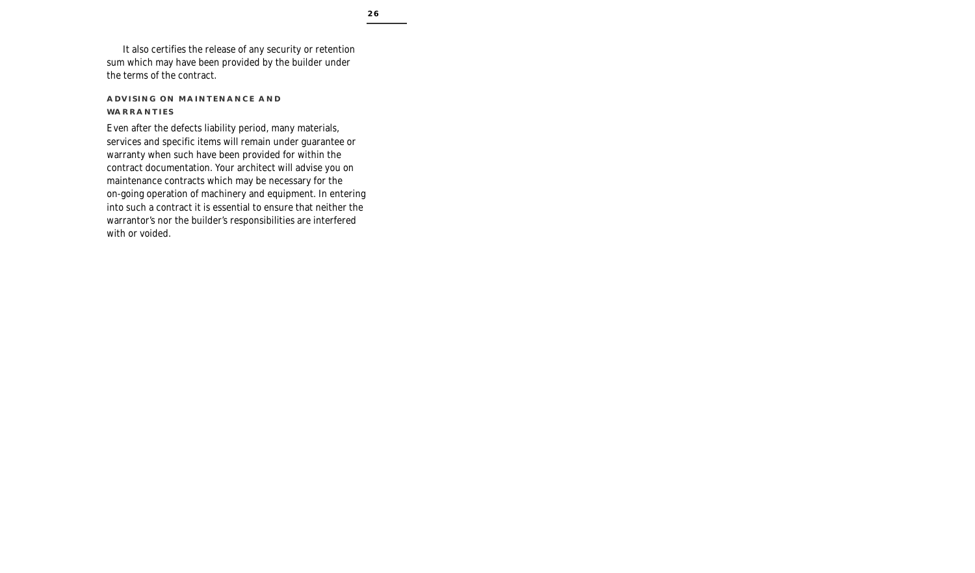It also certifies the release of any security or retention sum which may have been provided by the builder under the terms of the contract.

### **ADVISING ON MAINTENANCE AND WARRANTIES**

Even after the defects liability period, many materials, services and specific items will remain under guarantee or warranty when such have been provided for within the contract documentation. Your architect will advise you on maintenance contracts which may be necessary for the on-going operation of machinery and equipment. In entering into such a contract it is essential to ensure that neither the warrantor's nor the builder's responsibilities are interfered with or voided.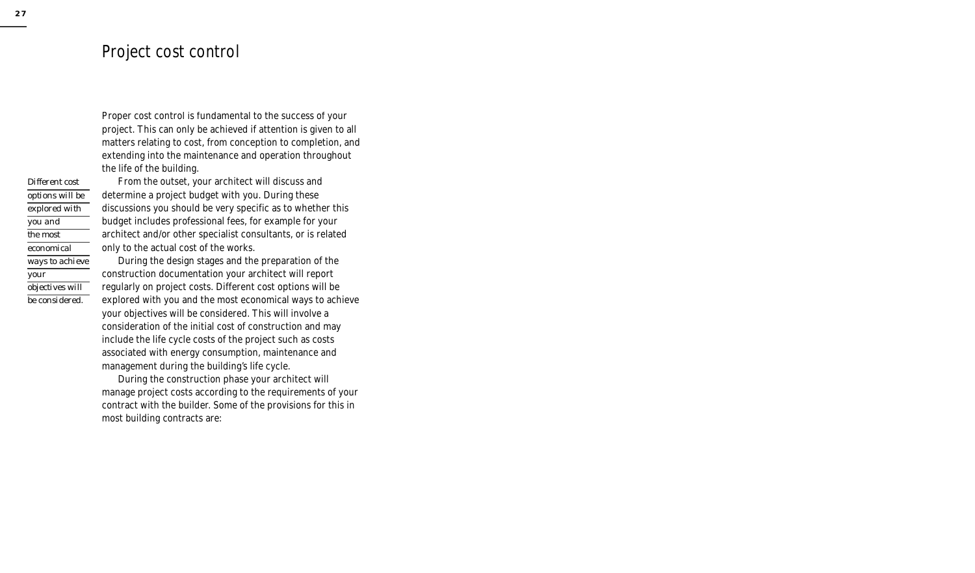### Project cost control

Proper cost control is fundamental to the success of your project. This can only be achieved if attention is given to all matters relating to cost, from conception to completion, and extending into the maintenance and operation throughout the life of the building.

From the outset, your architect will discuss and determine a project budget with you. During these discussions you should be very specific as to whether this budget includes professional fees, for example for your architect and/or other specialist consultants, or is related only to the actual cost of the works.

During the design stages and the preparation of the construction documentation your architect will report regularly on project costs. Different cost options will be explored with you and the most economical ways to achieve your objectives will be considered. This will involve a consideration of the initial cost of construction and may include the life cycle costs of the project such as costs associated with energy consumption, maintenance and management during the building's life cycle.

During the construction phase your architect will manage project costs according to the requirements of your contract with the builder. Some of the provisions for this in most building contracts are:

*Different cost options will be explored with you and the most economical ways to achieve your objectives will be considered.*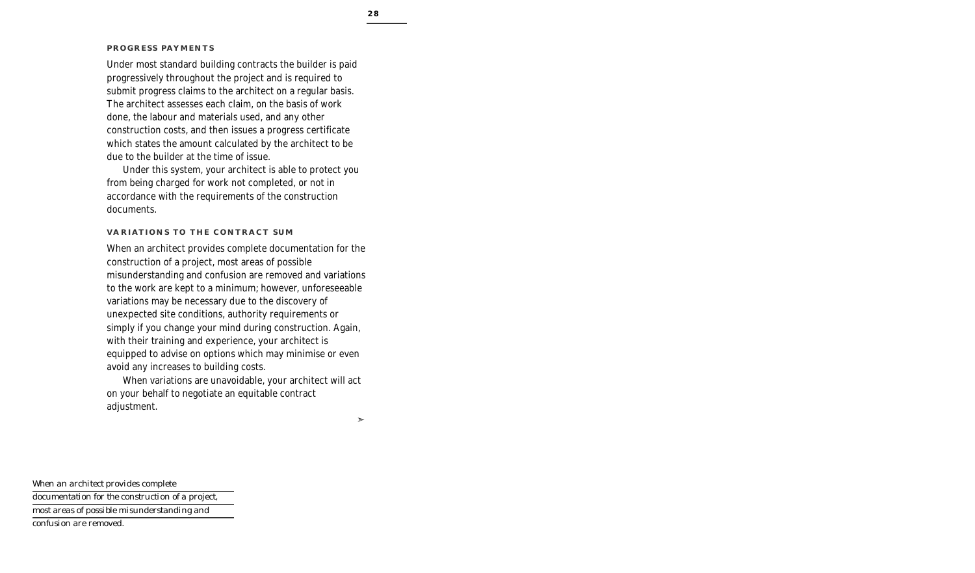### **PROGRESS PAYMENTS**

Under most standard building contracts the builder is paid progressively throughout the project and is required to submit progress claims to the architect on a regular basis. The architect assesses each claim, on the basis of work done, the labour and materials used, and any other construction costs, and then issues a progress certificate which states the amount calculated by the architect to be due to the builder at the time of issue.

Under this system, your architect is able to protect you from being charged for work not completed, or not in accordance with the requirements of the construction documents.

### **VARIATIONS TO THE CONTRACT SUM**

When an architect provides complete documentation for the construction of a project, most areas of possible misunderstanding and confusion are removed and variations to the work are kept to a minimum; however, unforeseeable variations may be necessary due to the discovery of unexpected site conditions, authority requirements or simply if you change your mind during construction. Again, with their training and experience, your architect is equipped to advise on options which may minimise or even avoid any increases to building costs.

When variations are unavoidable, your architect will act on your behalf to negotiate an equitable contract adjustment.

➣

*When an architect provides complete documentation for the construction of a project, most areas of possible misunderstanding and confusion are removed.*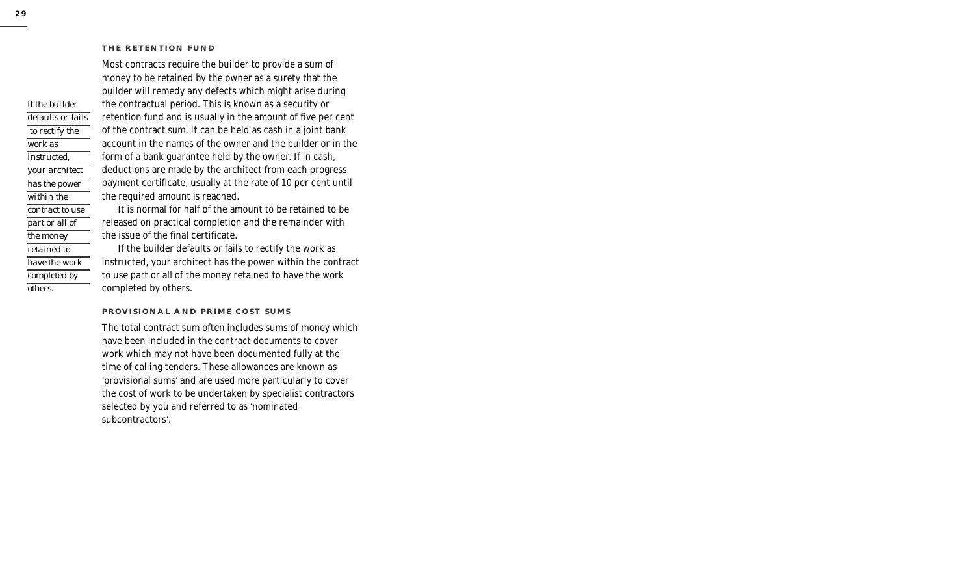#### **THE RETENTION FUND**

Most contracts require the builder to provide a sum of money to be retained by the owner as a surety that the builder will remedy any defects which might arise during the contractual period. This is known as a security or retention fund and is usually in the amount of five per cent of the contract sum. It can be held as cash in a joint bank account in the names of the owner and the builder or in the form of a bank guarantee held by the owner. If in cash, deductions are made by the architect from each progress payment certificate, usually at the rate of 10 per cent until the required amount is reached.

It is normal for half of the amount to be retained to be released on practical completion and the remainder with the issue of the final certificate.

If the builder defaults or fails to rectify the work as instructed, your architect has the power within the contract to use part or all of the money retained to have the work completed by others.

### **PROVISIONAL AND PRIME COST SUMS**

The total contract sum often includes sums of money which have been included in the contract documents to cover work which may not have been documented fully at the time of calling tenders. These allowances are known as 'provisional sums' and are used more particularly to cover the cost of work to be undertaken by specialist contractors selected by you and referred to as 'nominated subcontractors'.

*If the builder defaults or fails to rectify the work as instructed, your architect has the power within the contract to use part or all of the money retained to have the work completed by others.*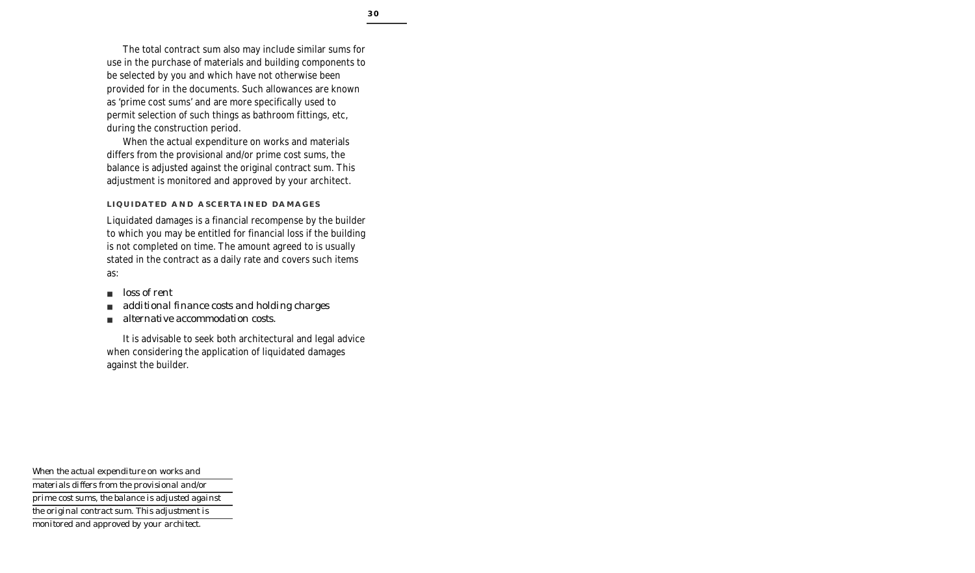The total contract sum also may include similar sums for use in the purchase of materials and building components to be selected by you and which have not otherwise been provided for in the documents. Such allowances are known as 'prime cost sums' and are more specifically used to permit selection of such things as bathroom fittings, etc, during the construction period.

When the actual expenditure on works and materials differs from the provisional and/or prime cost sums, the balance is adjusted against the original contract sum. This adjustment is monitored and approved by your architect.

### **LIQUIDATED AND ASCERTAINED DAMAGES**

Liquidated damages is a financial recompense by the builder to which you may be entitled for financial loss if the building is not completed on time. The amount agreed to is usually stated in the contract as a daily rate and covers such items as:

- *loss of rent*
- *additional finance costs and holding charges*
- *alternative accommodation costs.*

It is advisable to seek both architectural and legal advice when considering the application of liquidated damages against the builder.

*When the actual expenditure on works and materials differs from the provisional and/or prime cost sums, the balance is adjusted against the original contract sum. This adjustment is monitored and approved by your architect.*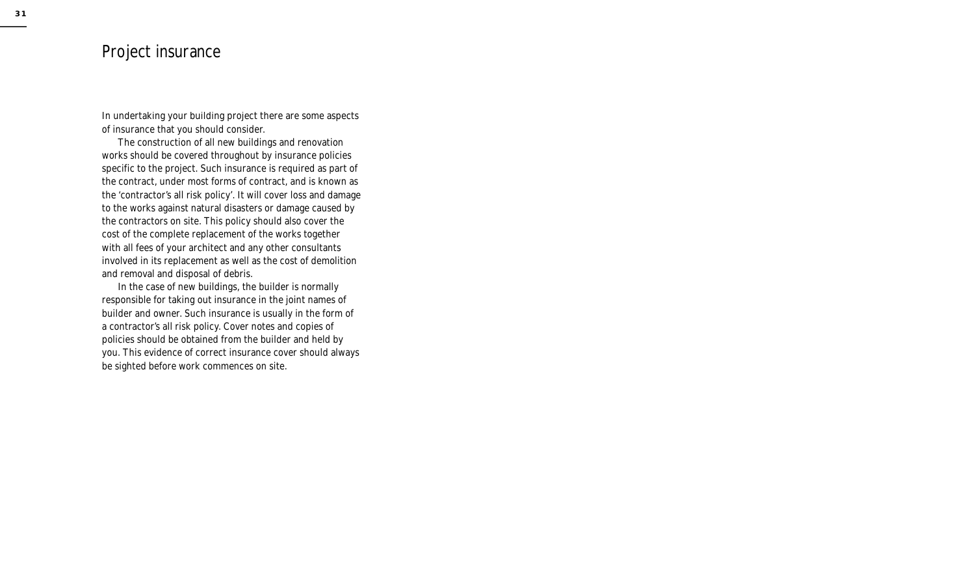## Project insurance

In undertaking your building project there are some aspects of insurance that you should consider.

The construction of all new buildings and renovation works should be covered throughout by insurance policies specific to the project. Such insurance is required as part of the contract, under most forms of contract, and is known as the 'contractor's all risk policy'. It will cover loss and damage to the works against natural disasters or damage caused by the contractors on site. This policy should also cover the cost of the complete replacement of the works together with all fees of your architect and any other consultants involved in its replacement as well as the cost of demolition and removal and disposal of debris.

In the case of new buildings, the builder is normally responsible for taking out insurance in the joint names of builder and owner. Such insurance is usually in the form of a contractor's all risk policy. Cover notes and copies of policies should be obtained from the builder and held by you. This evidence of correct insurance cover should always be sighted before work commences on site.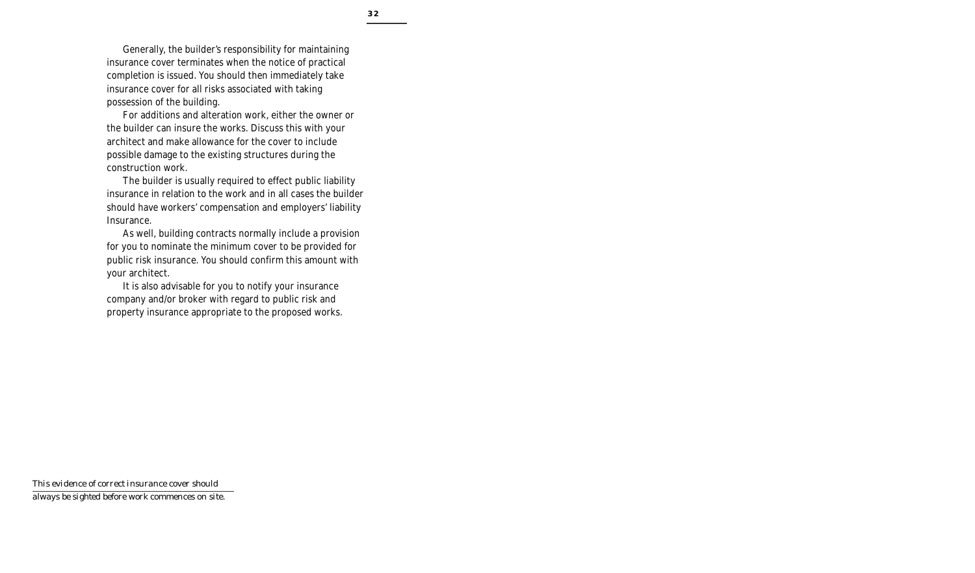Generally, the builder's responsibility for maintaining insurance cover terminates when the notice of practical completion is issued. You should then immediately take insurance cover for all risks associated with taking possession of the building.

For additions and alteration work, either the owner or the builder can insure the works. Discuss this with your architect and make allowance for the cover to include possible damage to the existing structures during the construction work.

The builder is usually required to effect public liability insurance in relation to the work and in all cases the builder should have workers' compensation and employers' liability Insurance.

As well, building contracts normally include a provision for you to nominate the minimum cover to be provided for public risk insurance. You should confirm this amount with your architect.

It is also advisable for you to notify your insurance company and/or broker with regard to public risk and property insurance appropriate to the proposed works.

*This evidence of correct insurance cover should always be sighted before work commences on site.*